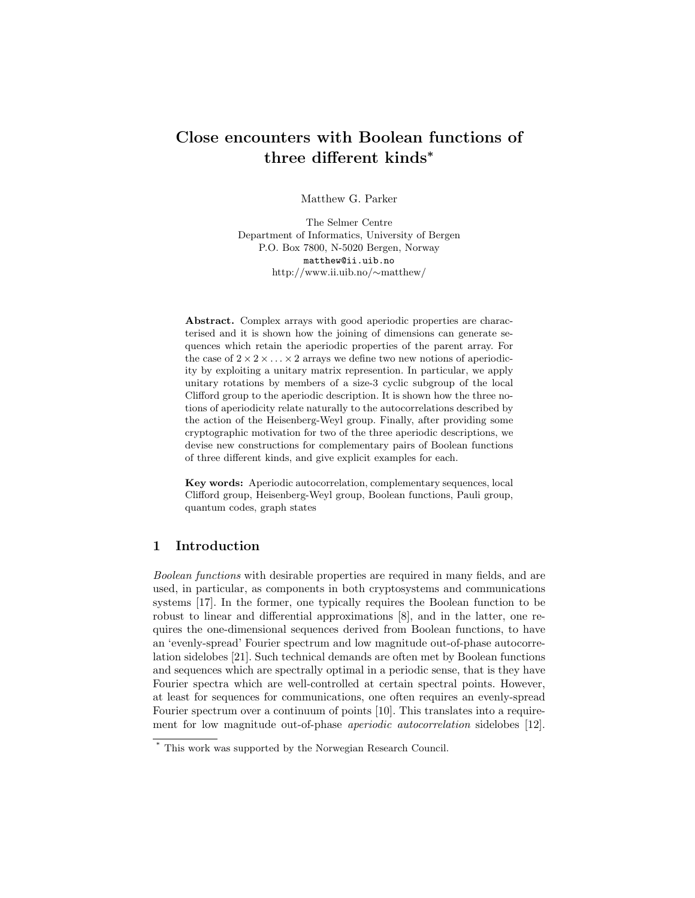# Close encounters with Boolean functions of three different kinds<sup>∗</sup>

Matthew G. Parker

The Selmer Centre Department of Informatics, University of Bergen P.O. Box 7800, N-5020 Bergen, Norway matthew@ii.uib.no http://www.ii.uib.no/∼matthew/

Abstract. Complex arrays with good aperiodic properties are characterised and it is shown how the joining of dimensions can generate sequences which retain the aperiodic properties of the parent array. For the case of  $2 \times 2 \times \ldots \times 2$  arrays we define two new notions of aperiodicity by exploiting a unitary matrix represention. In particular, we apply unitary rotations by members of a size-3 cyclic subgroup of the local Clifford group to the aperiodic description. It is shown how the three notions of aperiodicity relate naturally to the autocorrelations described by the action of the Heisenberg-Weyl group. Finally, after providing some cryptographic motivation for two of the three aperiodic descriptions, we devise new constructions for complementary pairs of Boolean functions of three different kinds, and give explicit examples for each.

Key words: Aperiodic autocorrelation, complementary sequences, local Clifford group, Heisenberg-Weyl group, Boolean functions, Pauli group, quantum codes, graph states

## 1 Introduction

Boolean functions with desirable properties are required in many fields, and are used, in particular, as components in both cryptosystems and communications systems [17]. In the former, one typically requires the Boolean function to be robust to linear and differential approximations [8], and in the latter, one requires the one-dimensional sequences derived from Boolean functions, to have an 'evenly-spread' Fourier spectrum and low magnitude out-of-phase autocorrelation sidelobes [21]. Such technical demands are often met by Boolean functions and sequences which are spectrally optimal in a periodic sense, that is they have Fourier spectra which are well-controlled at certain spectral points. However, at least for sequences for communications, one often requires an evenly-spread Fourier spectrum over a continuum of points [10]. This translates into a requirement for low magnitude out-of-phase aperiodic autocorrelation sidelobes [12].

<sup>\*</sup> This work was supported by the Norwegian Research Council.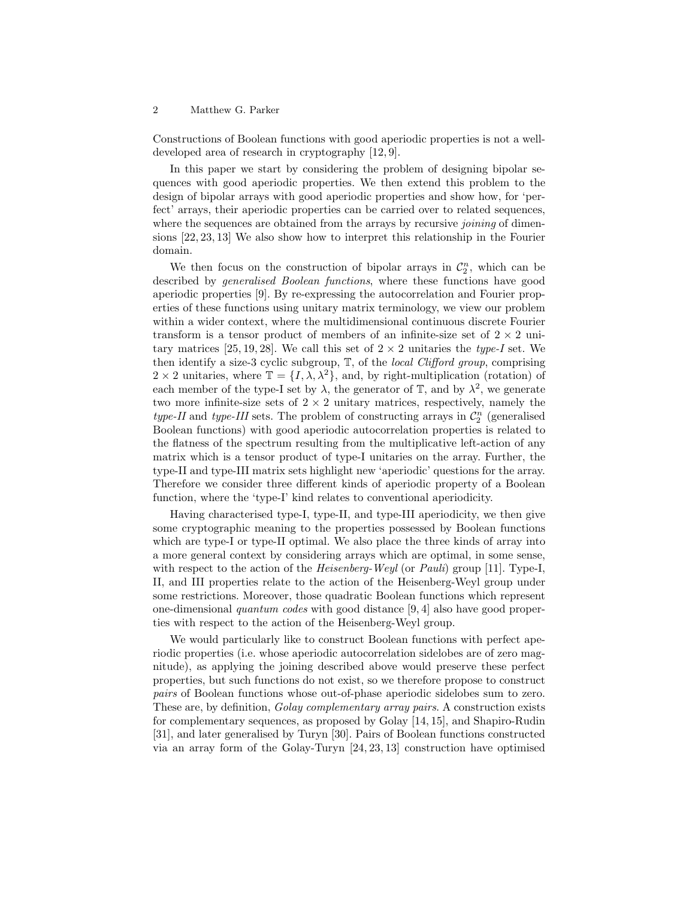Constructions of Boolean functions with good aperiodic properties is not a welldeveloped area of research in cryptography [12, 9].

In this paper we start by considering the problem of designing bipolar sequences with good aperiodic properties. We then extend this problem to the design of bipolar arrays with good aperiodic properties and show how, for 'perfect' arrays, their aperiodic properties can be carried over to related sequences, where the sequences are obtained from the arrays by recursive *joining* of dimensions [22, 23, 13] We also show how to interpret this relationship in the Fourier domain.

We then focus on the construction of bipolar arrays in  $\mathcal{C}_2^n$ , which can be described by generalised Boolean functions, where these functions have good aperiodic properties [9]. By re-expressing the autocorrelation and Fourier properties of these functions using unitary matrix terminology, we view our problem within a wider context, where the multidimensional continuous discrete Fourier transform is a tensor product of members of an infinite-size set of  $2 \times 2$  unitary matrices [25, 19, 28]. We call this set of  $2 \times 2$  unitaries the type-I set. We then identify a size-3 cyclic subgroup,  $\mathbb{T}$ , of the *local Clifford group*, comprising  $2 \times 2$  unitaries, where  $\mathbb{T} = \{I, \lambda, \lambda^2\}$ , and, by right-multiplication (rotation) of each member of the type-I set by  $\lambda$ , the generator of  $\mathbb{T}$ , and by  $\lambda^2$ , we generate two more infinite-size sets of  $2 \times 2$  unitary matrices, respectively, namely the type-II and type-III sets. The problem of constructing arrays in  $\mathcal{C}_2^n$  (generalised Boolean functions) with good aperiodic autocorrelation properties is related to the flatness of the spectrum resulting from the multiplicative left-action of any matrix which is a tensor product of type-I unitaries on the array. Further, the type-II and type-III matrix sets highlight new 'aperiodic' questions for the array. Therefore we consider three different kinds of aperiodic property of a Boolean function, where the 'type-I' kind relates to conventional aperiodicity.

Having characterised type-I, type-II, and type-III aperiodicity, we then give some cryptographic meaning to the properties possessed by Boolean functions which are type-I or type-II optimal. We also place the three kinds of array into a more general context by considering arrays which are optimal, in some sense, with respect to the action of the *Heisenberg-Weyl* (or *Pauli*) group [11]. Type-I, II, and III properties relate to the action of the Heisenberg-Weyl group under some restrictions. Moreover, those quadratic Boolean functions which represent one-dimensional quantum codes with good distance [9, 4] also have good properties with respect to the action of the Heisenberg-Weyl group.

We would particularly like to construct Boolean functions with perfect aperiodic properties (i.e. whose aperiodic autocorrelation sidelobes are of zero magnitude), as applying the joining described above would preserve these perfect properties, but such functions do not exist, so we therefore propose to construct pairs of Boolean functions whose out-of-phase aperiodic sidelobes sum to zero. These are, by definition, Golay complementary array pairs. A construction exists for complementary sequences, as proposed by Golay [14, 15], and Shapiro-Rudin [31], and later generalised by Turyn [30]. Pairs of Boolean functions constructed via an array form of the Golay-Turyn [24, 23, 13] construction have optimised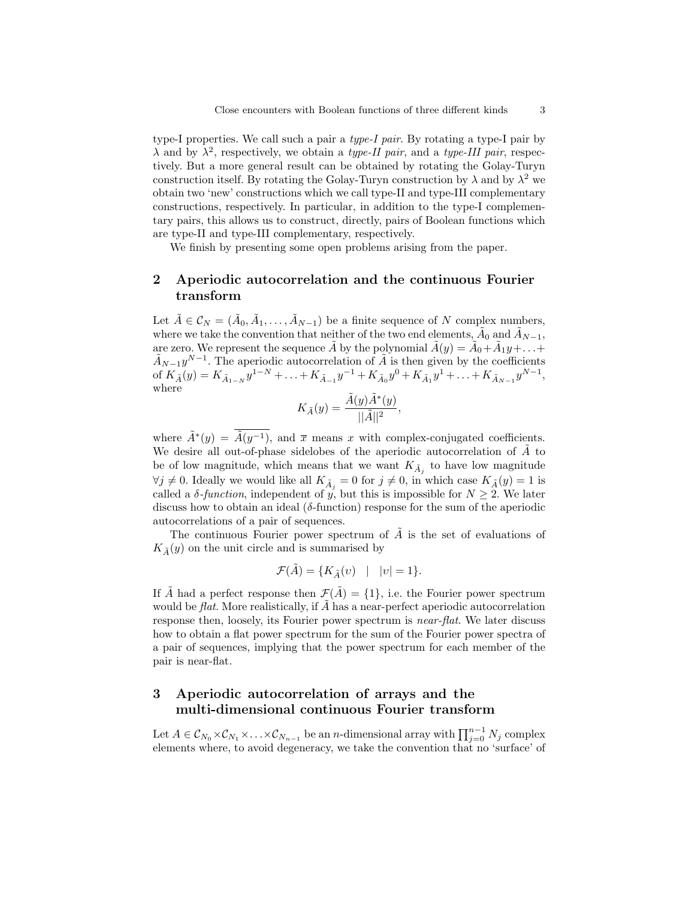type-I properties. We call such a pair a type-I pair. By rotating a type-I pair by  $\lambda$  and by  $\lambda^2$ , respectively, we obtain a *type-II pair*, and a *type-III pair*, respectively. But a more general result can be obtained by rotating the Golay-Turyn construction itself. By rotating the Golay-Turyn construction by  $\lambda$  and by  $\lambda^2$  we obtain two 'new' constructions which we call type-II and type-III complementary constructions, respectively. In particular, in addition to the type-I complementary pairs, this allows us to construct, directly, pairs of Boolean functions which are type-II and type-III complementary, respectively.

We finish by presenting some open problems arising from the paper.

## 2 Aperiodic autocorrelation and the continuous Fourier transform

Let  $\tilde{A} \in \mathcal{C}_N = (\tilde{A}_0, \tilde{A}_1, \ldots, \tilde{A}_{N-1})$  be a finite sequence of N complex numbers, where we take the convention that neither of the two end elements,  $\tilde{A}_0$  and  $\tilde{A}_{N-1}$ , are zero. We represent the sequence  $\tilde{A}$  by the polynomial  $\tilde{A}(y) = \tilde{A}_0 + \tilde{A}_1y + \ldots$  $\tilde{A}_{N-1}y^{N-1}$ . The aperiodic autocorrelation of  $\tilde{A}$  is then given by the coefficients of  $K_{\tilde{A}}(y) = K_{\tilde{A}_{1-N}} y^{1-N} + \ldots + K_{\tilde{A}_{-1}} y^{-1} + K_{\tilde{A}_0} y^0 + K_{\tilde{A}_1} y^1 + \ldots + K_{\tilde{A}_{N-1}} y^{N-1},$ where

$$
K_{\tilde{A}}(y) = \frac{\tilde{A}(y)\tilde{A}^*(y)}{||\tilde{A}||^2},
$$

where  $\tilde{A}^*(y) = \tilde{A}(y^{-1})$ , and  $\bar{x}$  means x with complex-conjugated coefficients. We desire all out-of-phase sidelobes of the aperiodic autocorrelation of  $\tilde{A}$  to be of low magnitude, which means that we want  $K_{\tilde{A}_j}$  to have low magnitude  $\forall j \neq 0$ . Ideally we would like all  $K_{\tilde{A}_j} = 0$  for  $j \neq 0$ , in which case  $K_{\tilde{A}}(y) = 1$  is called a  $\delta$ -function, independent of y, but this is impossible for  $N \geq 2$ . We later discuss how to obtain an ideal  $(\delta$ -function) response for the sum of the aperiodic autocorrelations of a pair of sequences.

The continuous Fourier power spectrum of  $\tilde{A}$  is the set of evaluations of  $K_{\tilde{A}}(y)$  on the unit circle and is summarised by

$$
\mathcal{F}(\tilde{A}) = \{ K_{\tilde{A}}(v) \quad | \quad |v| = 1 \}.
$$

If  $\tilde{A}$  had a perfect response then  $\mathcal{F}(\tilde{A}) = \{1\}$ , i.e. the Fourier power spectrum would be  $flat$ . More realistically, if  $A$  has a near-perfect aperiodic autocorrelation response then, loosely, its Fourier power spectrum is near-flat. We later discuss how to obtain a flat power spectrum for the sum of the Fourier power spectra of a pair of sequences, implying that the power spectrum for each member of the pair is near-flat.

## 3 Aperiodic autocorrelation of arrays and the multi-dimensional continuous Fourier transform

Let  $A \in \mathcal{C}_{N_0} \times \mathcal{C}_{N_1} \times \ldots \times \mathcal{C}_{N_{n-1}}$  be an n-dimensional array with  $\prod_{j=0}^{n-1} N_j$  complex elements where, to avoid degeneracy, we take the convention that no 'surface' of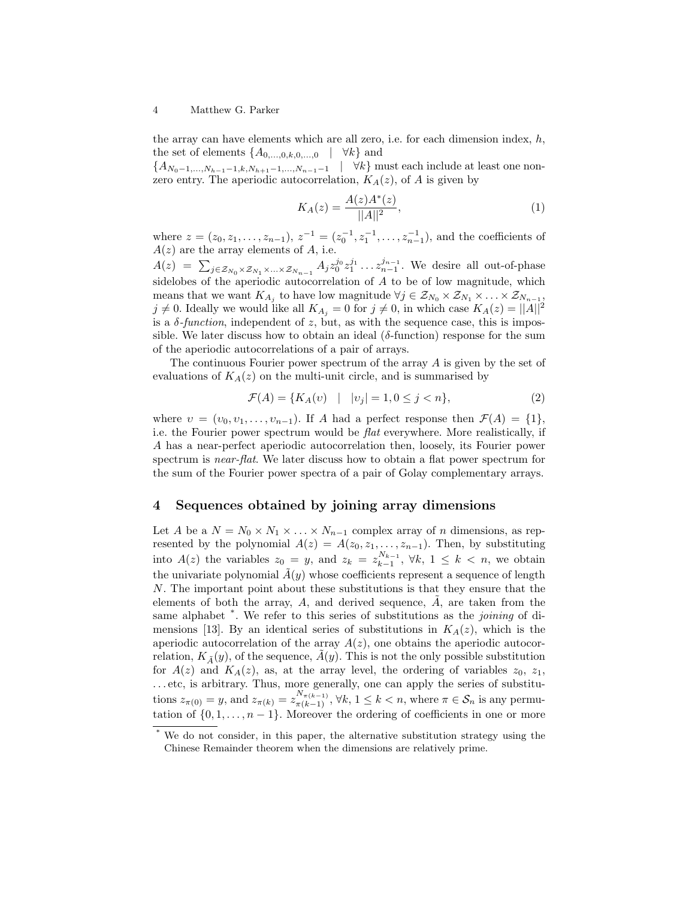the array can have elements which are all zero, i.e. for each dimension index,  $h$ , the set of elements  $\{A_{0,\ldots,0,k,0,\ldots,0} \mid \forall k\}$  and

 ${A_{N_0-1,...,N_{h-1}-1,k,N_{h+1}-1,...,N_{n-1}-1}$  |  $\forall k$ } must each include at least one nonzero entry. The aperiodic autocorrelation,  $K_A(z)$ , of A is given by

$$
K_A(z) = \frac{A(z)A^*(z)}{||A||^2},\tag{1}
$$

where  $z = (z_0, z_1, \ldots, z_{n-1}), z^{-1} = (z_0^{-1}, z_1^{-1}, \ldots, z_{n-1}^{-1}),$  and the coefficients of  $A(z)$  are the array elements of A, i.e.

 $A(z) = \sum_{j \in \mathcal{Z}_{N_0} \times \mathcal{Z}_{N_1} \times \ldots \times \mathcal{Z}_{N_{n-1}}} A_j z_0^{j_0} z_1^{j_1} \ldots z_{n-1}^{j_{n-1}}$ . We desire all out-of-phase sidelobes of the aperiodic autocorrelation of A to be of low magnitude, which means that we want  $K_{A_j}$  to have low magnitude  $\forall j \in \mathcal{Z}_{N_0} \times \mathcal{Z}_{N_1} \times \ldots \times \mathcal{Z}_{N_{n-1}},$  $j \neq 0$ . Ideally we would like all  $K_{A_j} = 0$  for  $j \neq 0$ , in which case  $K_A(z) = ||A||^2$ is a  $\delta$ -function, independent of z, but, as with the sequence case, this is impossible. We later discuss how to obtain an ideal  $(\delta$ -function) response for the sum of the aperiodic autocorrelations of a pair of arrays.

The continuous Fourier power spectrum of the array A is given by the set of evaluations of  $K_A(z)$  on the multi-unit circle, and is summarised by

$$
\mathcal{F}(A) = \{ K_A(v) \mid |v_j| = 1, 0 \le j < n \},\tag{2}
$$

where  $v = (v_0, v_1, \ldots, v_{n-1})$ . If A had a perfect response then  $\mathcal{F}(A) = \{1\}$ , i.e. the Fourier power spectrum would be flat everywhere. More realistically, if A has a near-perfect aperiodic autocorrelation then, loosely, its Fourier power spectrum is *near-flat*. We later discuss how to obtain a flat power spectrum for the sum of the Fourier power spectra of a pair of Golay complementary arrays.

## 4 Sequences obtained by joining array dimensions

Let A be a  $N = N_0 \times N_1 \times \ldots \times N_{n-1}$  complex array of n dimensions, as represented by the polynomial  $A(z) = A(z_0, z_1, \ldots, z_{n-1})$ . Then, by substituting into  $A(z)$  the variables  $z_0 = y$ , and  $z_k = z_{k-1}^{N_{k-1}}$ ,  $\forall k, 1 \leq k < n$ , we obtain the univariate polynomial  $\tilde{A}(y)$  whose coefficients represent a sequence of length N. The important point about these substitutions is that they ensure that the elements of both the array,  $A$ , and derived sequence,  $A$ , are taken from the same alphabet  $\overset{*}{\cdot}$ . We refer to this series of substitutions as the *joining* of dimensions [13]. By an identical series of substitutions in  $K_A(z)$ , which is the aperiodic autocorrelation of the array  $A(z)$ , one obtains the aperiodic autocorrelation,  $K_{\tilde{\Lambda}}(y)$ , of the sequence,  $\tilde{A}(y)$ . This is not the only possible substitution for  $A(z)$  and  $K_A(z)$ , as, at the array level, the ordering of variables  $z_0$ ,  $z_1$ , . . . etc, is arbitrary. Thus, more generally, one can apply the series of substitutions  $z_{\pi(0)} = y$ , and  $z_{\pi(k)} = z_{\pi(k-1)}^{N_{\pi(k-1)}}, \forall k, 1 \leq k < n$ , where  $\pi \in \mathcal{S}_n$  is any permutation of  $\{0, 1, \ldots, n-1\}$ . Moreover the ordering of coefficients in one or more

<sup>\*</sup> We do not consider, in this paper, the alternative substitution strategy using the Chinese Remainder theorem when the dimensions are relatively prime.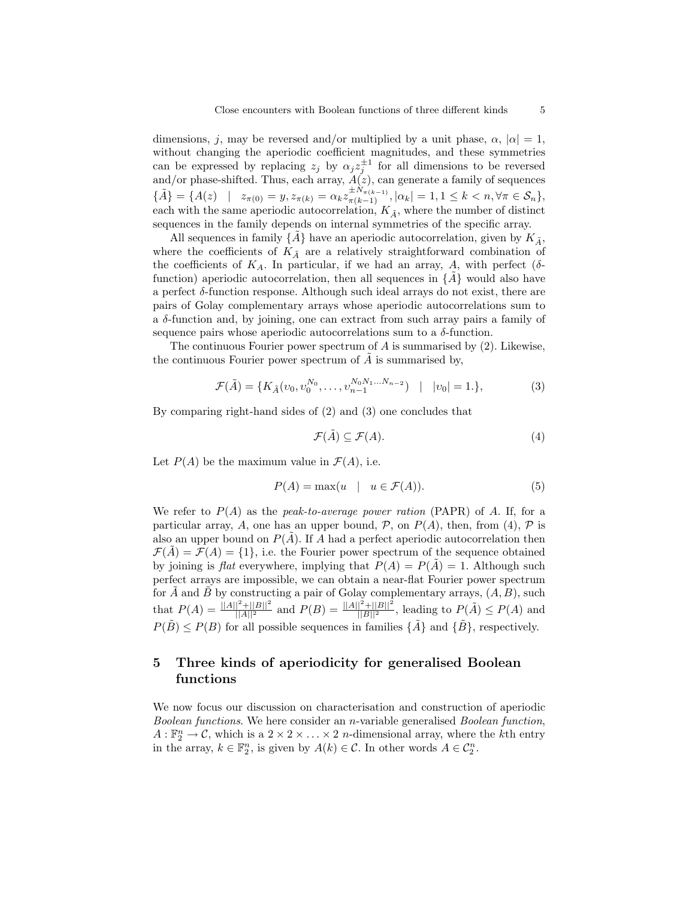dimensions, j, may be reversed and/or multiplied by a unit phase,  $\alpha$ ,  $|\alpha|=1$ , without changing the aperiodic coefficient magnitudes, and these symmetries can be expressed by replacing  $z_j$  by  $\alpha_j z_j^{\pm 1}$  for all dimensions to be reversed and/or phase-shifted. Thus, each array,  $A(z)$ , can generate a family of sequences  $\{\tilde{A}\} = \{A(z) \mid z_{\pi(0)} = y, z_{\pi(k)} = \alpha_k z_{\pi(k-1)}^{\pm N_{\pi(k-1)}}, |\alpha_k| = 1, 1 \leq k < n, \forall \pi \in \mathcal{S}_n\},\$ each with the same aperiodic autocorrelation,  $K_{\tilde{A}}$ , where the number of distinct sequences in the family depends on internal symmetries of the specific array.

All sequences in family  $\{A\}$  have an aperiodic autocorrelation, given by  $K_{\tilde{A}}$ , where the coefficients of  $K_{\tilde{A}}$  are a relatively straightforward combination of the coefficients of  $K_A$ . In particular, if we had an array, A, with perfect ( $\delta$ function) aperiodic autocorrelation, then all sequences in  $\{A\}$  would also have a perfect δ-function response. Although such ideal arrays do not exist, there are pairs of Golay complementary arrays whose aperiodic autocorrelations sum to a  $\delta$ -function and, by joining, one can extract from such array pairs a family of sequence pairs whose aperiodic autocorrelations sum to a  $\delta$ -function.

The continuous Fourier power spectrum of  $A$  is summarised by  $(2)$ . Likewise, the continuous Fourier power spectrum of  $A$  is summarised by,

$$
\mathcal{F}(\tilde{A}) = \{ K_{\tilde{A}}(v_0, v_0^{N_0}, \dots, v_{n-1}^{N_0 N_1 \dots N_{n-2}}) \mid |v_0| = 1. \},
$$
\n(3)

By comparing right-hand sides of (2) and (3) one concludes that

$$
\mathcal{F}(\tilde{A}) \subseteq \mathcal{F}(A). \tag{4}
$$

Let  $P(A)$  be the maximum value in  $\mathcal{F}(A)$ , i.e.

$$
P(A) = \max(u \mid u \in \mathcal{F}(A)).
$$
\n(5)

We refer to  $P(A)$  as the *peak-to-average power ration* (PAPR) of A. If, for a particular array, A, one has an upper bound, P, on  $P(A)$ , then, from (4), P is also an upper bound on  $P(A)$ . If A had a perfect aperiodic autocorrelation then  $\mathcal{F}(A) = \mathcal{F}(A) = \{1\}$ , i.e. the Fourier power spectrum of the sequence obtained by joining is *flat* everywhere, implying that  $P(A) = P(A) = 1$ . Although such perfect arrays are impossible, we can obtain a near-flat Fourier power spectrum for  $\tilde{A}$  and  $\tilde{B}$  by constructing a pair of Golay complementary arrays,  $(A, B)$ , such that  $P(A) = \frac{||A||^2 + ||B||^2}{||A||^2}$  and  $P(B) = \frac{||A||^2 + ||B||^2}{||B||^2}$ , leading to  $P(\tilde{A}) \leq P(A)$  and  $P(B) \leq P(B)$  for all possible sequences in families  $\{A\}$  and  $\{B\}$ , respectively.

## 5 Three kinds of aperiodicity for generalised Boolean functions

We now focus our discussion on characterisation and construction of aperiodic Boolean functions. We here consider an n-variable generalised Boolean function,  $A: \mathbb{F}_2^n \to \mathcal{C}$ , which is a  $2 \times 2 \times \ldots \times 2$  *n*-dimensional array, where the *k*th entry in the array,  $k \in \mathbb{F}_2^n$ , is given by  $A(k) \in \mathcal{C}$ . In other words  $A \in \mathcal{C}_2^n$ .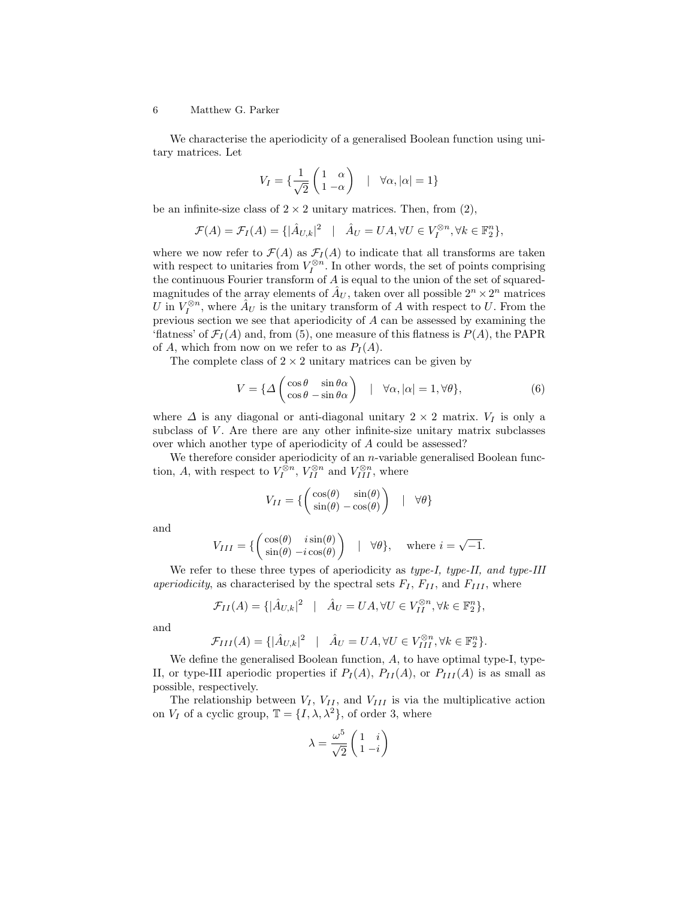We characterise the aperiodicity of a generalised Boolean function using unitary matrices. Let

$$
V_I = \{ \frac{1}{\sqrt{2}} \begin{pmatrix} 1 & \alpha \\ 1 & -\alpha \end{pmatrix} \quad | \quad \forall \alpha, |\alpha| = 1 \}
$$

be an infinite-size class of  $2 \times 2$  unitary matrices. Then, from (2),

$$
\mathcal{F}(A) = \mathcal{F}_I(A) = \{ |\hat{A}_{U,k}|^2 \mid \hat{A}_U = UA, \forall U \in V_I^{\otimes n}, \forall k \in \mathbb{F}_2^n \},
$$

where we now refer to  $\mathcal{F}(A)$  as  $\mathcal{F}_{I}(A)$  to indicate that all transforms are taken with respect to unitaries from  $V_I^{\otimes n}$ . In other words, the set of points comprising the continuous Fourier transform of A is equal to the union of the set of squaredmagnitudes of the array elements of  $\hat{A}_U$ , taken over all possible  $2^n \times 2^n$  matrices U in  $V_I^{\otimes n}$ , where  $\hat{A}_U$  is the unitary transform of A with respect to U. From the previous section we see that aperiodicity of A can be assessed by examining the 'flatness' of  $\mathcal{F}_I(A)$  and, from (5), one measure of this flatness is  $P(A)$ , the PAPR of A, which from now on we refer to as  $P_I(A)$ .

The complete class of  $2 \times 2$  unitary matrices can be given by

$$
V = \{ \Delta \begin{pmatrix} \cos \theta & \sin \theta \alpha \\ \cos \theta & -\sin \theta \alpha \end{pmatrix} \quad | \quad \forall \alpha, |\alpha| = 1, \forall \theta \},
$$
 (6)

where  $\Delta$  is any diagonal or anti-diagonal unitary 2 × 2 matrix.  $V_I$  is only a subclass of  $V$ . Are there are any other infinite-size unitary matrix subclasses over which another type of aperiodicity of A could be assessed?

We therefore consider aperiodicity of an *n*-variable generalised Boolean function, A, with respect to  $V_I^{\otimes n}$ ,  $V_{II}^{\otimes n}$  and  $V_{III}^{\otimes n}$ , where

$$
V_{II} = \left\{ \begin{pmatrix} \cos(\theta) & \sin(\theta) \\ \sin(\theta) - \cos(\theta) \end{pmatrix} \mid \forall \theta \right\}
$$

and

$$
V_{III} = \left\{ \begin{pmatrix} \cos(\theta) & i\sin(\theta) \\ \sin(\theta) - i\cos(\theta) \end{pmatrix} \mid \forall \theta \right\}, \text{ where } i = \sqrt{-1}.
$$

We refer to these three types of aperiodicity as type-I, type-II, and type-III aperiodicity, as characterised by the spectral sets  $F_I$ ,  $F_{II}$ , and  $F_{III}$ , where

$$
\mathcal{F}_{II}(A) = \{ |\hat{A}_{U,k}|^2 \mid \hat{A}_U = UA, \forall U \in V_{II}^{\otimes n}, \forall k \in \mathbb{F}_2^n \},
$$

and

$$
\mathcal{F}_{III}(A) = \{ |\hat{A}_{U,k}|^2 \mid \hat{A}_U = UA, \forall U \in V_{III}^{\otimes n}, \forall k \in \mathbb{F}_2^n \}.
$$

We define the generalised Boolean function, A, to have optimal type-I, type-II, or type-III aperiodic properties if  $P_I(A)$ ,  $P_{II}(A)$ , or  $P_{III}(A)$  is as small as possible, respectively.

The relationship between  $V_I$ ,  $V_{II}$ , and  $V_{III}$  is via the multiplicative action on  $V_I$  of a cyclic group,  $\mathbb{T} = \{I, \lambda, \lambda^2\}$ , of order 3, where

$$
\lambda = \frac{\omega^5}{\sqrt{2}} \begin{pmatrix} 1 & i \\ 1 & -i \end{pmatrix}
$$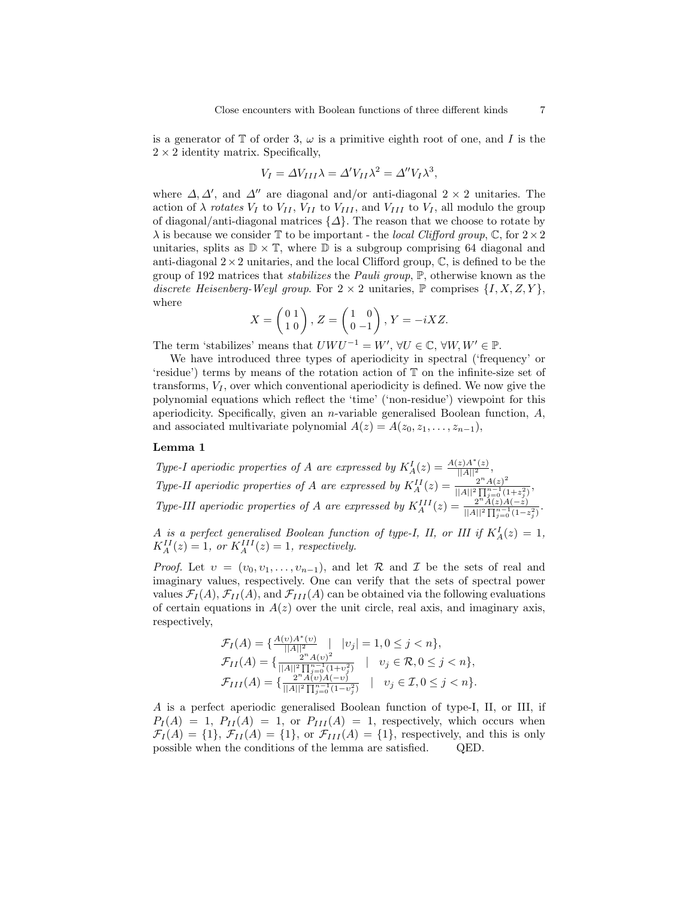is a generator of  $\mathbb T$  of order 3,  $\omega$  is a primitive eighth root of one, and I is the  $2 \times 2$  identity matrix. Specifically,

$$
V_I = \Delta V_{III} \lambda = \Delta' V_{II} \lambda^2 = \Delta'' V_I \lambda^3,
$$

where  $\Delta, \Delta'$ , and  $\Delta''$  are diagonal and/or anti-diagonal 2 × 2 unitaries. The action of  $\lambda$  rotates  $V_I$  to  $V_{II}$ ,  $V_{II}$  to  $V_{III}$ , and  $V_{III}$  to  $V_I$ , all modulo the group of diagonal/anti-diagonal matrices  $\{\Delta\}$ . The reason that we choose to rotate by  $\lambda$  is because we consider T to be important - the local Clifford group, C, for  $2 \times 2$ unitaries, splits as  $\mathbb{D} \times \mathbb{T}$ , where  $\mathbb{D}$  is a subgroup comprising 64 diagonal and anti-diagonal  $2 \times 2$  unitaries, and the local Clifford group,  $\mathbb{C}$ , is defined to be the group of 192 matrices that stabilizes the Pauli group, P, otherwise known as the discrete Heisenberg-Weyl group. For  $2 \times 2$  unitaries,  $\mathbb{P}$  comprises  $\{I, X, Z, Y\}$ , where  $\overline{a}$ 

$$
X = \begin{pmatrix} 0 & 1 \\ 1 & 0 \end{pmatrix}, Z = \begin{pmatrix} 1 & 0 \\ 0 & -1 \end{pmatrix}, Y = -iXZ.
$$

The term 'stabilizes' means that  $U W U^{-1} = W'$ ,  $\forall U \in \mathbb{C}, \forall W, W' \in \mathbb{P}$ .

We have introduced three types of aperiodicity in spectral ('frequency' or 'residue') terms by means of the rotation action of T on the infinite-size set of transforms,  $V_I$ , over which conventional aperiodicity is defined. We now give the polynomial equations which reflect the 'time' ('non-residue') viewpoint for this aperiodicity. Specifically, given an *n*-variable generalised Boolean function,  $A$ , and associated multivariate polynomial  $A(z) = A(z_0, z_1, \ldots, z_{n-1}),$ 

### Lemma 1

Type-I aperiodic properties of A are expressed by  $K_A^I(z) = \frac{A(z)A^*(z)}{||A||^2}$ , Type-II aperiodic properties of A are expressed by  $K_A^{II}(z) = \frac{2^n A(z)^2}{||A||^2 \prod_{i=1}^{n-1} (z_i)^2}$  $\frac{2|A(z)|}{||A||^2 \prod_{j=0}^{n-1} (1+z_j^2)},$ Type-III aperiodic properties of A are expressed by  $K_A^{III}(z) = \frac{2^{n} \tilde{A}(z) A(-z)}{||A||^2 \prod_{i=1}^{n-1} (1-z)^{n-i}}$  $||A||^2 \prod_{j=0}^{n-1} (1-z_j^2)$ .

A is a perfect generalised Boolean function of type-I, II, or III if  $K_A^I(z) = 1$ ,  $K_A^{II}(z) = 1$ , or  $K_A^{III}(z) = 1$ , respectively.

*Proof.* Let  $v = (v_0, v_1, \ldots, v_{n-1})$ , and let R and I be the sets of real and imaginary values, respectively. One can verify that the sets of spectral power values  $\mathcal{F}_I(A)$ ,  $\mathcal{F}_{II}(A)$ , and  $\mathcal{F}_{III}(A)$  can be obtained via the following evaluations of certain equations in  $A(z)$  over the unit circle, real axis, and imaginary axis, respectively,

$$
\mathcal{F}_I(A) = \{ \frac{A(v)A^*(v)}{||A||^2} \mid |v_j| = 1, 0 \le j < n \},
$$
\n
$$
\mathcal{F}_{II}(A) = \{ \frac{2^n A(v)^2}{||A||^2 \prod_{j=0}^{n-1} (1+v_j^2)} \mid v_j \in \mathcal{R}, 0 \le j < n \},
$$
\n
$$
\mathcal{F}_{III}(A) = \{ \frac{2^n A(v)A(-v)}{||A||^2 \prod_{j=0}^{n-1} (1-v_j^2)} \mid v_j \in \mathcal{I}, 0 \le j < n \}.
$$

A is a perfect aperiodic generalised Boolean function of type-I, II, or III, if  $P_I(A) = 1$ ,  $P_{II}(A) = 1$ , or  $P_{III}(A) = 1$ , respectively, which occurs when  $\mathcal{F}_I(A) = \{1\}, \mathcal{F}_{II}(A) = \{1\}, \text{ or } \mathcal{F}_{III}(A) = \{1\}, \text{ respectively, and this is only}$ possible when the conditions of the lemma are satisfied. QED.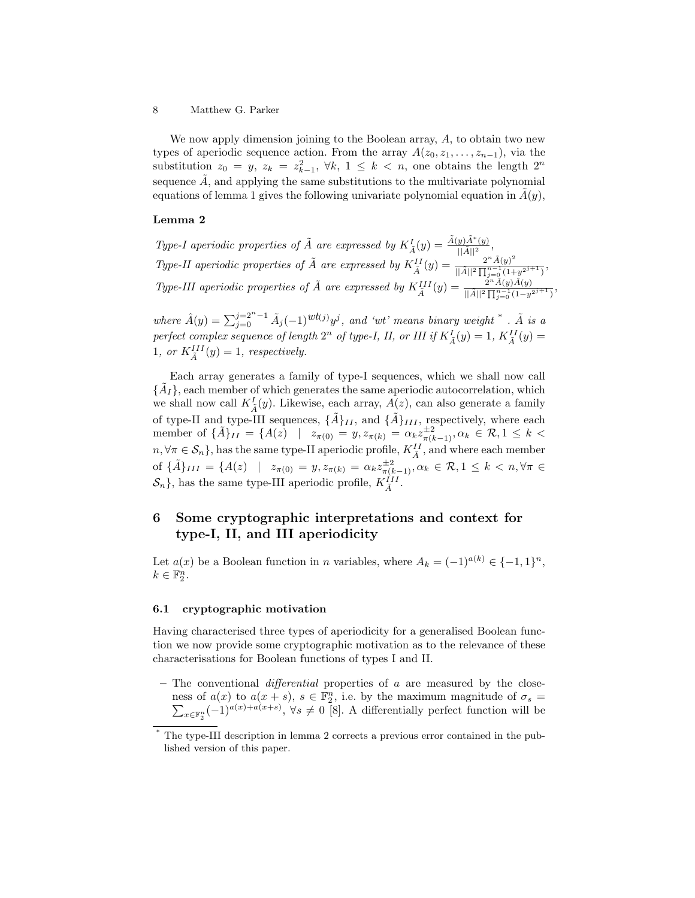We now apply dimension joining to the Boolean array, A, to obtain two new types of aperiodic sequence action. From the array  $A(z_0, z_1, \ldots, z_{n-1})$ , via the substitution  $z_0 = y$ ,  $z_k = z_{k-1}^2$ ,  $\forall k, 1 \leq k < n$ , one obtains the length  $2^n$ sequence  $\tilde{A}$ , and applying the same substitutions to the multivariate polynomial equations of lemma 1 gives the following univariate polynomial equation in  $A(y)$ ,

### Lemma 2

Type-I aperiodic properties of  $\tilde{A}$  are expressed by  $K_{\tilde{A}}^{I}(y) = \frac{\tilde{A}(y)\tilde{A}^{*}(y)}{||\tilde{A}||^{2}},$ Type-II aperiodic properties of  $\tilde{A}$  are expressed by  $K_{\tilde{A}}^{II}(y) = \frac{2^n \tilde{A}(y)^2}{\|\tilde{A}\|^2 \prod_{i=0}^{n-1} (1+\tilde{A})^2}$  $\frac{2\|A(y)}{||\tilde{A}||^2\prod_{j=0}^{n-1}(1+y^{2j+1})},$ Type-III aperiodic properties of  $\tilde{A}$  are expressed by  $K_{\tilde{A}}^{III}(y) = \frac{\tilde{A}^{n}\tilde{A}(y)\tilde{A}(y)}{||\tilde{A}||^{2}\prod_{i=0}^{n-1}(1-y^{i})}$  $\frac{2|A(y)A(y)|}{||\tilde{A}||^2 \prod_{j=0}^{n-1} (1-y^{2j+1})},$ 

where  $\hat{A}(y) = \sum_{j=0}^{j=2^n-1} \tilde{A}_j(-1)^{wt(j)}y^j$ , and 'wt' means binary weight  $*$ .  $\tilde{A}$  is a perfect complex sequence of length  $2^n$  of type-I, II, or III if  $K_{\tilde{A}}^I(y) = 1$ ,  $K_{\tilde{A}}^{II}(y) =$ 1, or  $K_{\tilde{A}}^{III}(y) = 1$ , respectively.

Each array generates a family of type-I sequences, which we shall now call  $\{\tilde{A}_I\}$ , each member of which generates the same aperiodic autocorrelation, which we shall now call  $K_{\tilde{A}}^{I}(y)$ . Likewise, each array,  $A(z)$ , can also generate a family of type-II and type-III sequences,  $\{\tilde{A}\}_{II}$ , and  $\{\tilde{A}\}_{III}$ , respectively, where each member of  $\{\tilde{A}\}_{II} = \{A(z) \mid z_{\pi(0)} = y, z_{\pi(k)} = \alpha_k z_{\pi(k-1)}^{\pm 2}, \alpha_k \in \mathcal{R}, 1 \leq k < k\}$  $n, \forall \pi \in \mathcal{S}_n$ , has the same type-II aperiodic profile,  $K_{\tilde{A}}^{II}$ , and where each member of  $\{\tilde{A}\}_{III} = \{A(z) \mid z_{\pi(0)} = y, z_{\pi(k)} = \alpha_k z_{\pi(k-1)}^{\pm 2}, \alpha_k \in \mathcal{R}, 1 \leq k < n, \forall \pi \in \mathcal{R}\}$  $\mathcal{S}_n$ , has the same type-III aperiodic profile,  $K_{\tilde{A}}^{III}$ .

## 6 Some cryptographic interpretations and context for type-I, II, and III aperiodicity

Let  $a(x)$  be a Boolean function in n variables, where  $A_k = (-1)^{a(k)} \in \{-1,1\}^n$ ,  $k \in \mathbb{F}_2^n$ .

#### 6.1 cryptographic motivation

Having characterised three types of aperiodicity for a generalised Boolean function we now provide some cryptographic motivation as to the relevance of these characterisations for Boolean functions of types I and II.

– The conventional *differential* properties of  $a$  are measured by the closeness of  $a(x)$  to  $a(x + s)$ ,  $s \in \mathbb{F}_2^n$ <br>  $\sum_{x \in \mathbb{F}^n} (-1)^{a(x)+a(x+s)}$ ,  $\forall s \neq 0$ , i.e. by the maximum magnitude of  $\sigma_s =$  $x \in \mathbb{F}_2^n (-1)^{a(x)+a(x+s)}$ ,  $\forall s \neq 0$  [8]. A differentially perfect function will be

The type-III description in lemma 2 corrects a previous error contained in the published version of this paper.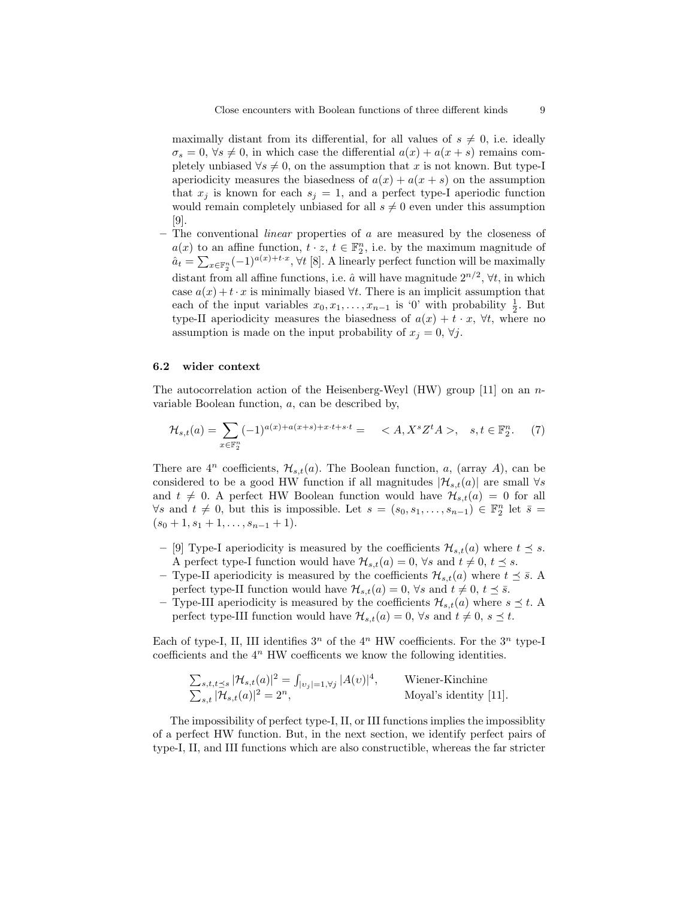maximally distant from its differential, for all values of  $s \neq 0$ , i.e. ideally  $\sigma_s = 0, \forall s \neq 0$ , in which case the differential  $a(x) + a(x + s)$  remains completely unbiased  $\forall s \neq 0$ , on the assumption that x is not known. But type-I aperiodicity measures the biasedness of  $a(x) + a(x + s)$  on the assumption that  $x_j$  is known for each  $s_j = 1$ , and a perfect type-I aperiodic function would remain completely unbiased for all  $s \neq 0$  even under this assumption [9].

– The conventional *linear* properties of  $\alpha$  are measured by the closeness of  $a(x)$  to an affine function,  $t \cdot z$ ,  $t \in \mathbb{F}_2^n$ , i.e. by the maximum magnitude of  $\hat{a}_t = \sum_{x \in \mathbb{F}_2^n} (-1)^{a(x)+t \cdot x}, \forall t \text{ [8].}$  A linearly perfect function will be maximally distant from all affine functions, i.e.  $\hat{a}$  will have magnitude  $2^{n/2}$ ,  $\forall t$ , in which case  $a(x) + t \cdot x$  is minimally biased  $\forall t$ . There is an implicit assumption that each of the input variables  $x_0, x_1, \ldots, x_{n-1}$  is '0' with probability  $\frac{1}{2}$ . But type-II aperiodicity measures the biasedness of  $a(x) + t \cdot x$ ,  $\forall t$ , where no assumption is made on the input probability of  $x_j = 0, \forall j$ .

### 6.2 wider context

The autocorrelation action of the Heisenberg-Weyl (HW) group  $[11]$  on an nvariable Boolean function, a, can be described by,

$$
\mathcal{H}_{s,t}(a) = \sum_{x \in \mathbb{F}_2^n} (-1)^{a(x) + a(x+s) + x \cdot t + s \cdot t} = \langle A, X^s Z^t A \rangle, \quad s, t \in \mathbb{F}_2^n. \tag{7}
$$

There are  $4^n$  coefficients,  $\mathcal{H}_{s,t}(a)$ . The Boolean function, a, (array A), can be considered to be a good HW function if all magnitudes  $|\mathcal{H}_{s,t}(a)|$  are small  $\forall s$ and  $t \neq 0$ . A perfect HW Boolean function would have  $\mathcal{H}_{s,t}(a) = 0$  for all  $\forall s$  and  $t \neq 0$ , but this is impossible. Let  $s = (s_0, s_1, \ldots, s_{n-1}) \in \mathbb{F}_2^n$  let  $\overline{s} =$  $(s_0+1, s_1+1, \ldots, s_{n-1}+1).$ 

- [9] Type-I aperiodicity is measured by the coefficients  $\mathcal{H}_{s,t}(a)$  where  $t \leq s$ . A perfect type-I function would have  $\mathcal{H}_{s,t}(a) = 0$ ,  $\forall s$  and  $t \neq 0$ ,  $t \leq s$ .
- Type-II aperiodicity is measured by the coefficients  $\mathcal{H}_{s,t}(a)$  where  $t \leq \bar{s}$ . perfect type-II function would have  $\mathcal{H}_{s,t}(a) = 0$ ,  $\forall s$  and  $t \neq 0$ ,  $t \leq \overline{s}$ .
- Type-III aperiodicity is measured by the coefficients  $\mathcal{H}_{s,t}(a)$  where  $s \preceq t$ . perfect type-III function would have  $\mathcal{H}_{s,t}(a) = 0$ ,  $\forall s$  and  $t \neq 0$ ,  $s \preceq t$ .

Each of type-I, II, III identifies  $3^n$  of the  $4^n$  HW coefficients. For the  $3^n$  type-I coefficients and the  $4^n$  HW coefficents we know the following identities.

$$
\sum_{s,t,t \le s} |\mathcal{H}_{s,t}(a)|^2 = \int_{|v_j|=1, \forall j} |A(v)|^4,
$$
 Wiener-Kinchine  

$$
\sum_{s,t} |\mathcal{H}_{s,t}(a)|^2 = 2^n,
$$
 Moyal's identity [11].

The impossibility of perfect type-I, II, or III functions implies the impossiblity of a perfect HW function. But, in the next section, we identify perfect pairs of type-I, II, and III functions which are also constructible, whereas the far stricter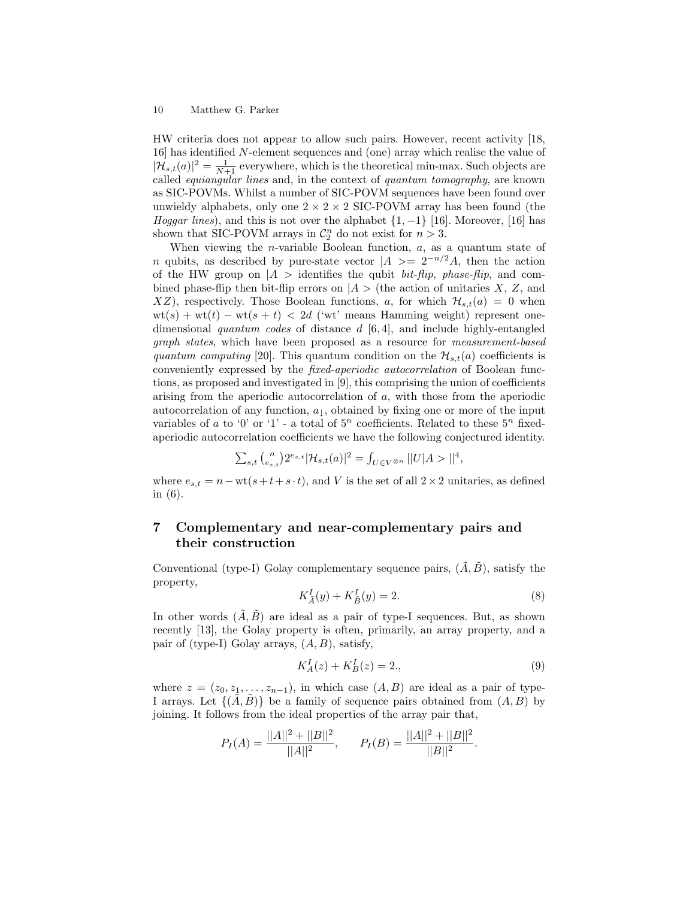HW criteria does not appear to allow such pairs. However, recent activity [18, 16] has identified N-element sequences and (one) array which realise the value of  $|\mathcal{H}_{s,t}(a)|^2 = \frac{1}{N+1}$  everywhere, which is the theoretical min-max. Such objects are called equiangular lines and, in the context of quantum tomography, are known as SIC-POVMs. Whilst a number of SIC-POVM sequences have been found over unwieldy alphabets, only one  $2 \times 2 \times 2$  SIC-POVM array has been found (the Hoggar lines), and this is not over the alphabet  $\{1, -1\}$  [16]. Moreover, [16] has shown that SIC-POVM arrays in  $C_2^n$  do not exist for  $n > 3$ .

When viewing the *n*-variable Boolean function,  $a$ , as a quantum state of n qubits, as described by pure-state vector  $|A\rangle = 2^{-n/2}A$ , then the action of the HW group on  $|A\rangle$  identifies the qubit *bit-flip, phase-flip*, and combined phase-flip then bit-flip errors on  $|A\rangle$  (the action of unitaries X, Z, and XZ), respectively. Those Boolean functions, a, for which  $\mathcal{H}_{s,t}(a) = 0$  when  $wt(s) + wt(t) - wt(s + t) < 2d$  ('wt' means Hamming weight) represent onedimensional quantum codes of distance  $d$  [6, 4], and include highly-entangled graph states, which have been proposed as a resource for measurement-based quantum computing [20]. This quantum condition on the  $\mathcal{H}_{s,t}(a)$  coefficients is conveniently expressed by the fixed-aperiodic autocorrelation of Boolean functions, as proposed and investigated in [9], this comprising the union of coefficients arising from the aperiodic autocorrelation of a, with those from the aperiodic autocorrelation of any function,  $a_{\downarrow}$ , obtained by fixing one or more of the input variables of a to '0' or '1' - a total of  $5^n$  coefficients. Related to these  $5^n$  fixedaperiodic autocorrelation coefficients we have the following conjectured identity.

$$
\sum_{s,t} {n \choose e_{s,t}} 2^{e_{s,t}} |\mathcal{H}_{s,t}(a)|^2 = \int_{U \in V^{\otimes n}} ||U| A > ||^4,
$$

where  $e_{s,t} = n - \text{wt}(s+t+s \cdot t)$ , and V is the set of all  $2 \times 2$  unitaries, as defined in (6).

## 7 Complementary and near-complementary pairs and their construction

Conventional (type-I) Golay complementary sequence pairs,  $(\tilde{A}, \tilde{B})$ , satisfy the property,

$$
K_{\tilde{A}}^{I}(y) + K_{\tilde{B}}^{I}(y) = 2.
$$
 (8)

In other words  $(\tilde{A}, \tilde{B})$  are ideal as a pair of type-I sequences. But, as shown recently [13], the Golay property is often, primarily, an array property, and a pair of (type-I) Golay arrays,  $(A, B)$ , satisfy,

$$
K_A^I(z) + K_B^I(z) = 2.\tag{9}
$$

where  $z = (z_0, z_1, \ldots, z_{n-1}),$  in which case  $(A, B)$  are ideal as a pair of type-I arrays. Let  $\{(A, B)\}\$ be a family of sequence pairs obtained from  $(A, B)$  by joining. It follows from the ideal properties of the array pair that,

$$
P_I(A) = \frac{||A||^2 + ||B||^2}{||A||^2}, \qquad P_I(B) = \frac{||A||^2 + ||B||^2}{||B||^2}.
$$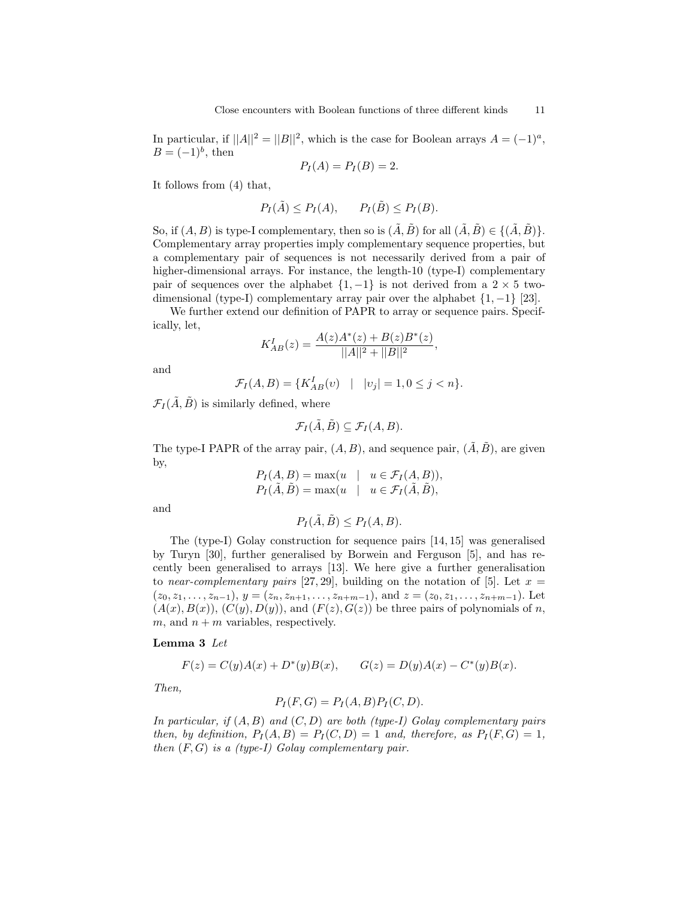In particular, if  $||A||^2 = ||B||^2$ , which is the case for Boolean arrays  $A = (-1)^a$ ,  $B=(-1)^b$ , then

$$
P_I(A) = P_I(B) = 2.
$$

It follows from (4) that,

$$
P_I(\tilde{A}) \le P_I(A), \qquad P_I(\tilde{B}) \le P_I(B).
$$

So, if  $(A, B)$  is type-I complementary, then so is  $(\tilde{A}, \tilde{B})$  for all  $(\tilde{A}, \tilde{B}) \in \{(\tilde{A}, \tilde{B})\}.$ Complementary array properties imply complementary sequence properties, but a complementary pair of sequences is not necessarily derived from a pair of higher-dimensional arrays. For instance, the length-10 (type-I) complementary pair of sequences over the alphabet  $\{1, -1\}$  is not derived from a 2  $\times$  5 twodimensional (type-I) complementary array pair over the alphabet  $\{1, -1\}$  [23].

We further extend our definition of PAPR to array or sequence pairs. Specifically, let,

$$
K_{AB}^I(z) = \frac{A(z)A^*(z) + B(z)B^*(z)}{||A||^2 + ||B||^2},
$$

and

$$
\mathcal{F}_I(A, B) = \{ K_{AB}^I(v) \mid |v_j| = 1, 0 \le j < n \}.
$$

 $\mathcal{F}_I(\tilde{A}, \tilde{B})$  is similarly defined, where

$$
\mathcal{F}_I(\tilde{A}, \tilde{B}) \subseteq \mathcal{F}_I(A, B).
$$

The type-I PAPR of the array pair,  $(A, B)$ , and sequence pair,  $(\tilde{A}, \tilde{B})$ , are given by,

$$
P_I(A, B) = \max(u \mid u \in \mathcal{F}_I(A, B)),
$$
  
\n
$$
P_I(\tilde{A}, \tilde{B}) = \max(u \mid u \in \mathcal{F}_I(\tilde{A}, \tilde{B}),
$$

and

$$
P_I(\tilde{A}, \tilde{B}) \le P_I(A, B).
$$

The (type-I) Golay construction for sequence pairs [14, 15] was generalised by Turyn [30], further generalised by Borwein and Ferguson [5], and has recently been generalised to arrays [13]. We here give a further generalisation to near-complementary pairs [27, 29], building on the notation of [5]. Let  $x =$  $(z_0, z_1, \ldots, z_{n-1}), y = (z_n, z_{n+1}, \ldots, z_{n+m-1}),$  and  $z = (z_0, z_1, \ldots, z_{n+m-1}).$  Let  $(A(x), B(x)), (C(y), D(y)),$  and  $(F(z), G(z))$  be three pairs of polynomials of n, m, and  $n + m$  variables, respectively.

### Lemma 3 Let

$$
F(z) = C(y)A(x) + D^*(y)B(x), \qquad G(z) = D(y)A(x) - C^*(y)B(x).
$$

Then,

$$
P_I(F, G) = P_I(A, B) P_I(C, D).
$$

In particular, if  $(A, B)$  and  $(C, D)$  are both (type-I) Golay complementary pairs then, by definition,  $P_I(A, B) = P_I(C, D) = 1$  and, therefore, as  $P_I(F, G) = 1$ , then  $(F, G)$  is a (type-I) Golay complementary pair.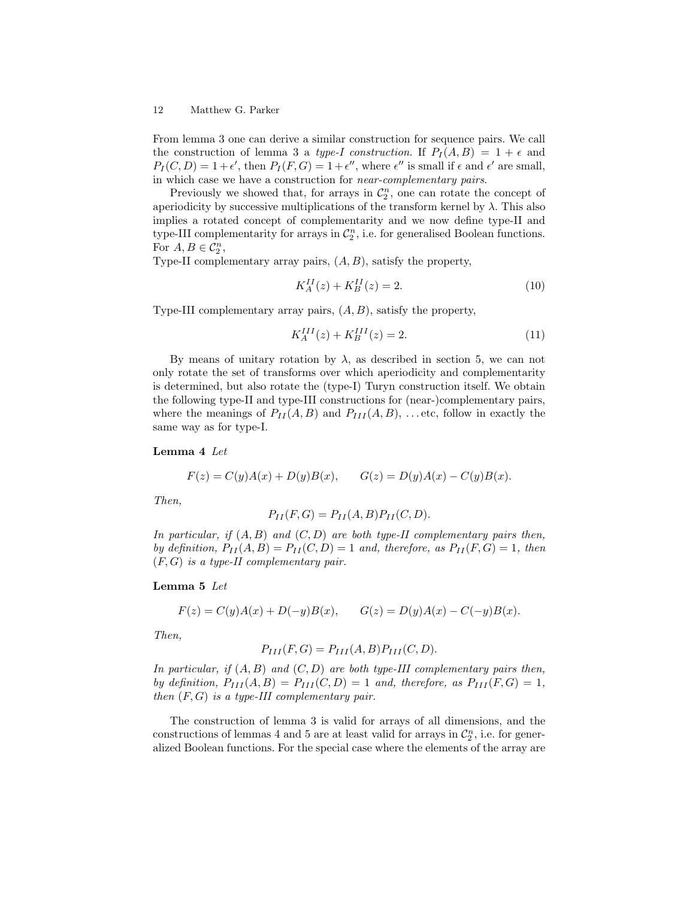From lemma 3 one can derive a similar construction for sequence pairs. We call the construction of lemma 3 a type-I construction. If  $P_I(A, B) = 1 + \epsilon$  and  $P_I(C, D) = 1 + \epsilon'$ , then  $P_I(F, G) = 1 + \epsilon''$ , where  $\epsilon''$  is small if  $\epsilon$  and  $\epsilon'$  are small, in which case we have a construction for near-complementary pairs.

Previously we showed that, for arrays in  $\mathcal{C}_2^n$ , one can rotate the concept of aperiodicity by successive multiplications of the transform kernel by  $\lambda$ . This also implies a rotated concept of complementarity and we now define type-II and type-III complementarity for arrays in  $\mathcal{C}_2^n$ , i.e. for generalised Boolean functions. For  $A, B \in \mathcal{C}_2^n$ ,

Type-II complementary array pairs,  $(A, B)$ , satisfy the property,

$$
K_A^{II}(z) + K_B^{II}(z) = 2.
$$
\n(10)

Type-III complementary array pairs,  $(A, B)$ , satisfy the property,

$$
K_A^{III}(z) + K_B^{III}(z) = 2.
$$
 (11)

By means of unitary rotation by  $\lambda$ , as described in section 5, we can not only rotate the set of transforms over which aperiodicity and complementarity is determined, but also rotate the (type-I) Turyn construction itself. We obtain the following type-II and type-III constructions for (near-)complementary pairs, where the meanings of  $P_{II}(A, B)$  and  $P_{III}(A, B)$ , ... etc, follow in exactly the same way as for type-I.

Lemma 4 Let

$$
F(z) = C(y)A(x) + D(y)B(x), \qquad G(z) = D(y)A(x) - C(y)B(x).
$$

Then,

$$
P_{II}(F,G) = P_{II}(A,B)P_{II}(C,D).
$$

In particular, if  $(A, B)$  and  $(C, D)$  are both type-II complementary pairs then, by definition,  $P_{II}(A, B) = P_{II}(C, D) = 1$  and, therefore, as  $P_{II}(F, G) = 1$ , then  $(F, G)$  is a type-II complementary pair.

### Lemma 5 Let

$$
F(z) = C(y)A(x) + D(-y)B(x), \qquad G(z) = D(y)A(x) - C(-y)B(x).
$$

Then,

$$
P_{III}(F,G) = P_{III}(A,B)P_{III}(C,D).
$$

In particular, if  $(A, B)$  and  $(C, D)$  are both type-III complementary pairs then, by definition,  $P_{III}(A, B) = P_{III}(C, D) = 1$  and, therefore, as  $P_{III}(F, G) = 1$ , then  $(F, G)$  is a type-III complementary pair.

The construction of lemma 3 is valid for arrays of all dimensions, and the constructions of lemmas 4 and 5 are at least valid for arrays in  $\mathcal{C}_2^n$ , i.e. for generalized Boolean functions. For the special case where the elements of the array are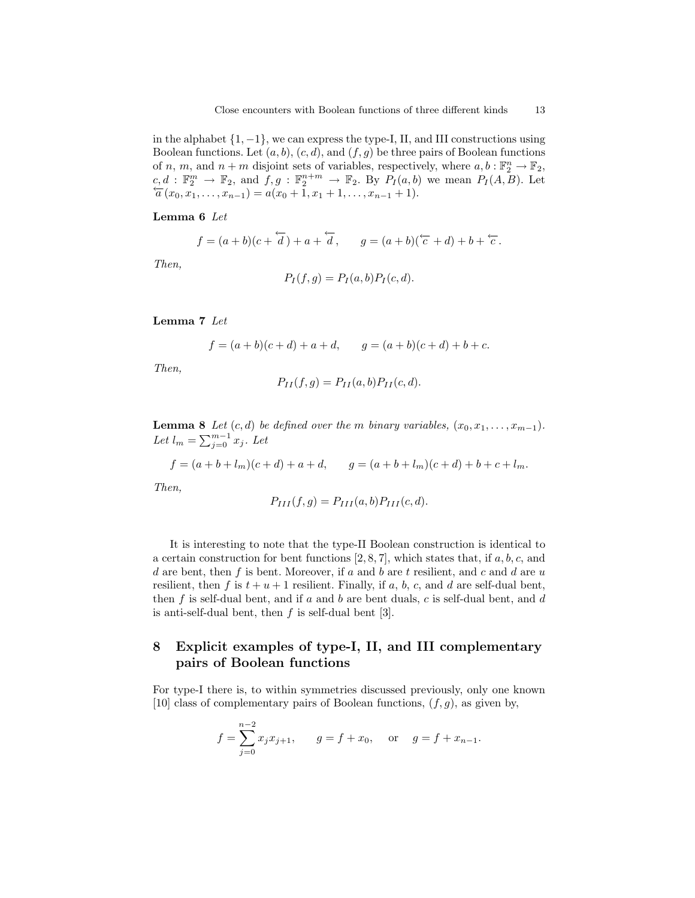in the alphabet  $\{1, -1\}$ , we can express the type-I, II, and III constructions using Boolean functions. Let  $(a, b), (c, d)$ , and  $(f, g)$  be three pairs of Boolean functions of n, m, and  $n+m$  disjoint sets of variables, respectively, where  $a, b : \mathbb{F}_2^n \to \mathbb{F}_2$ ,  $c, d$ :  $\mathbb{F}_2^m \to \mathbb{F}_2$ , and  $f, g: \mathbb{F}_2^{n+m} \to \mathbb{F}_2$ . By  $P_I(a, b)$  we mean  $P_I(A, B)$ . Let  $\overleftarrow{a}(x_0, x_1, \ldots, x_{n-1}) = a(x_0 + 1, x_1 + 1, \ldots, x_{n-1} + 1).$ 

### Lemma 6 Let

$$
f = (a+b)(c+\overleftarrow{d}) + a+\overleftarrow{d}, \qquad g = (a+b)(\overleftarrow{c} + d) + b+\overleftarrow{c}.
$$

Then,

$$
P_I(f,g) = P_I(a,b)P_I(c,d).
$$

Lemma 7 Let

$$
f = (a+b)(c+d) + a + d
$$
,  $g = (a+b)(c+d) + b + c$ .

Then,

$$
P_{II}(f,g) = P_{II}(a,b)P_{II}(c,d).
$$

**Lemma 8** Let  $(c,d)$  be defined over the m binary variables,  $(x_0, x_1, \ldots, x_{m-1})$ . Let  $l_m = \sum_{j=0}^{m-1} x_j$ . Let

$$
f = (a+b+l_m)(c+d) + a + d, \qquad g = (a+b+l_m)(c+d) + b + c + l_m.
$$

Then,

$$
P_{III}(f,g) = P_{III}(a,b)P_{III}(c,d).
$$

It is interesting to note that the type-II Boolean construction is identical to a certain construction for bent functions  $[2, 8, 7]$ , which states that, if  $a, b, c$ , and d are bent, then  $f$  is bent. Moreover, if  $a$  and  $b$  are  $t$  resilient, and  $c$  and  $d$  are  $u$ resilient, then f is  $t + u + 1$  resilient. Finally, if a, b, c, and d are self-dual bent, then  $f$  is self-dual bent, and if  $a$  and  $b$  are bent duals,  $c$  is self-dual bent, and  $d$ is anti-self-dual bent, then  $f$  is self-dual bent [3].

## 8 Explicit examples of type-I, II, and III complementary pairs of Boolean functions

For type-I there is, to within symmetries discussed previously, only one known [10] class of complementary pairs of Boolean functions,  $(f, g)$ , as given by,

$$
f = \sum_{j=0}^{n-2} x_j x_{j+1}, \qquad g = f + x_0, \quad \text{or} \quad g = f + x_{n-1}.
$$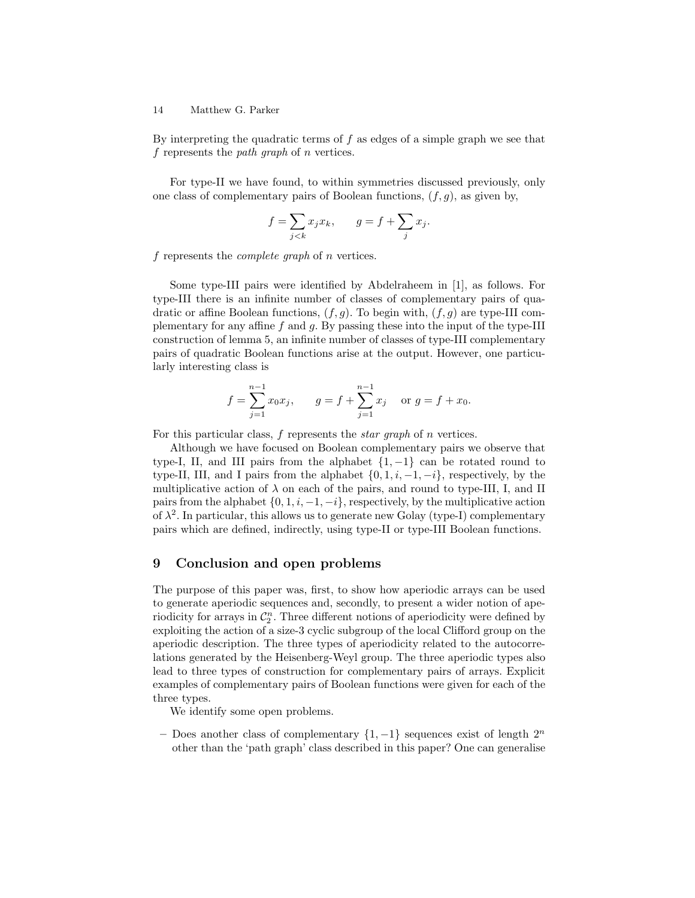By interpreting the quadratic terms of  $f$  as edges of a simple graph we see that f represents the *path graph* of *n* vertices.

For type-II we have found, to within symmetries discussed previously, only one class of complementary pairs of Boolean functions,  $(f, g)$ , as given by,

$$
f = \sum_{j < k} x_j x_k, \qquad g = f + \sum_j x_j.
$$

f represents the complete graph of n vertices.

Some type-III pairs were identified by Abdelraheem in [1], as follows. For type-III there is an infinite number of classes of complementary pairs of quadratic or affine Boolean functions,  $(f, g)$ . To begin with,  $(f, g)$  are type-III complementary for any affine  $f$  and  $g$ . By passing these into the input of the type-III construction of lemma 5, an infinite number of classes of type-III complementary pairs of quadratic Boolean functions arise at the output. However, one particularly interesting class is

$$
f = \sum_{j=1}^{n-1} x_0 x_j
$$
,  $g = f + \sum_{j=1}^{n-1} x_j$  or  $g = f + x_0$ .

For this particular class, f represents the *star graph* of *n* vertices.

Although we have focused on Boolean complementary pairs we observe that type-I, II, and III pairs from the alphabet  $\{1, -1\}$  can be rotated round to type-II, III, and I pairs from the alphabet  $\{0, 1, i, -1, -i\}$ , respectively, by the multiplicative action of  $\lambda$  on each of the pairs, and round to type-III, I, and II pairs from the alphabet  $\{0, 1, i, -1, -i\}$ , respectively, by the multiplicative action of  $\lambda^2$ . In particular, this allows us to generate new Golay (type-I) complementary pairs which are defined, indirectly, using type-II or type-III Boolean functions.

## 9 Conclusion and open problems

The purpose of this paper was, first, to show how aperiodic arrays can be used to generate aperiodic sequences and, secondly, to present a wider notion of aperiodicity for arrays in  $\mathcal{C}_2^n$ . Three different notions of aperiodicity were defined by exploiting the action of a size-3 cyclic subgroup of the local Clifford group on the aperiodic description. The three types of aperiodicity related to the autocorrelations generated by the Heisenberg-Weyl group. The three aperiodic types also lead to three types of construction for complementary pairs of arrays. Explicit examples of complementary pairs of Boolean functions were given for each of the three types.

We identify some open problems.

– Does another class of complementary  $\{1, -1\}$  sequences exist of length  $2^n$ other than the 'path graph' class described in this paper? One can generalise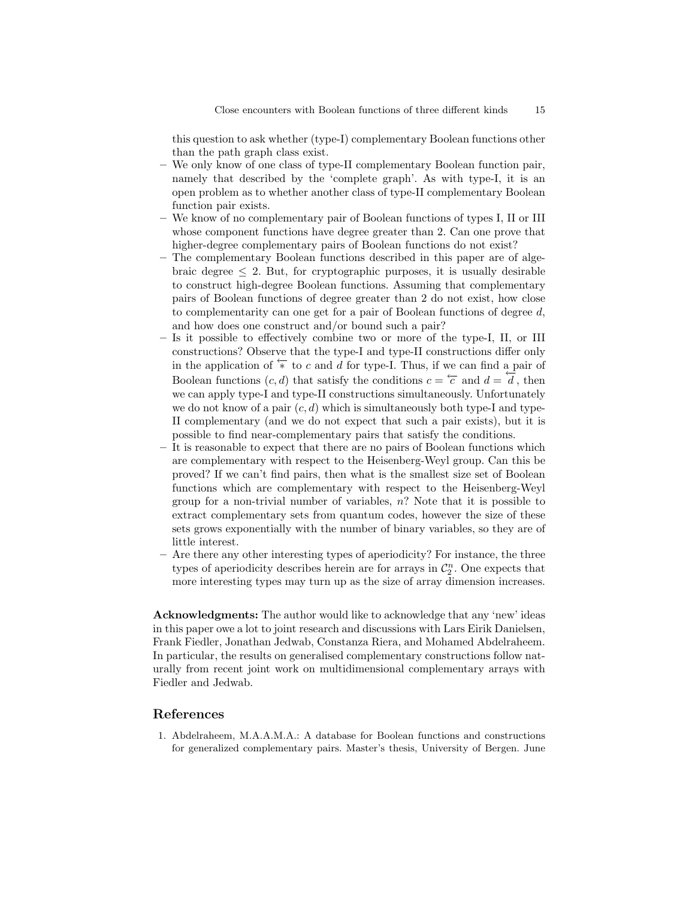this question to ask whether (type-I) complementary Boolean functions other than the path graph class exist.

- We only know of one class of type-II complementary Boolean function pair, namely that described by the 'complete graph'. As with type-I, it is an open problem as to whether another class of type-II complementary Boolean function pair exists.
- We know of no complementary pair of Boolean functions of types I, II or III whose component functions have degree greater than 2. Can one prove that higher-degree complementary pairs of Boolean functions do not exist?
- The complementary Boolean functions described in this paper are of algebraic degree  $\leq 2$ . But, for cryptographic purposes, it is usually desirable to construct high-degree Boolean functions. Assuming that complementary pairs of Boolean functions of degree greater than 2 do not exist, how close to complementarity can one get for a pair of Boolean functions of degree d, and how does one construct and/or bound such a pair?
- Is it possible to effectively combine two or more of the type-I, II, or III constructions? Observe that the type-I and type-II constructions differ only in the application of  $\overleftarrow{\ast}$  to c and d for type-I. Thus, if we can find a pair of Boolean functions  $(c, d)$  that satisfy the conditions  $c = \overleftarrow{c}$  and  $d = \overrightarrow{d}$ , then we can apply type-I and type-II constructions simultaneously. Unfortunately we do not know of a pair  $(c, d)$  which is simultaneously both type-I and type-II complementary (and we do not expect that such a pair exists), but it is possible to find near-complementary pairs that satisfy the conditions.
- It is reasonable to expect that there are no pairs of Boolean functions which are complementary with respect to the Heisenberg-Weyl group. Can this be proved? If we can't find pairs, then what is the smallest size set of Boolean functions which are complementary with respect to the Heisenberg-Weyl group for a non-trivial number of variables,  $n$ ? Note that it is possible to extract complementary sets from quantum codes, however the size of these sets grows exponentially with the number of binary variables, so they are of little interest.
- Are there any other interesting types of aperiodicity? For instance, the three types of aperiodicity describes herein are for arrays in  $\mathcal{C}_2^n$ . One expects that more interesting types may turn up as the size of array dimension increases.

Acknowledgments: The author would like to acknowledge that any 'new' ideas in this paper owe a lot to joint research and discussions with Lars Eirik Danielsen, Frank Fiedler, Jonathan Jedwab, Constanza Riera, and Mohamed Abdelraheem. In particular, the results on generalised complementary constructions follow naturally from recent joint work on multidimensional complementary arrays with Fiedler and Jedwab.

## References

1. Abdelraheem, M.A.A.M.A.: A database for Boolean functions and constructions for generalized complementary pairs. Master's thesis, University of Bergen. June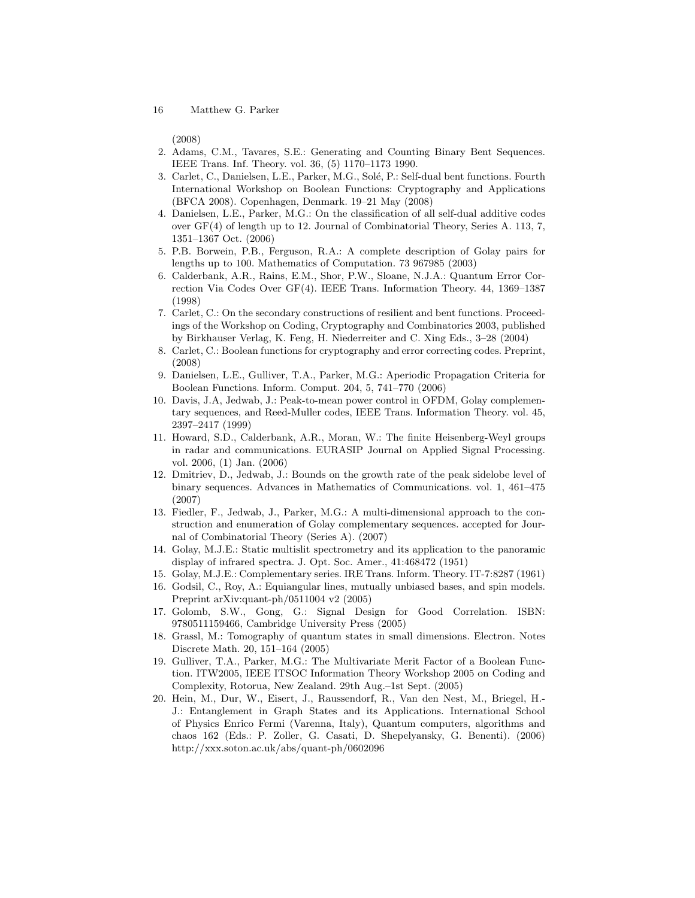(2008)

- 2. Adams, C.M., Tavares, S.E.: Generating and Counting Binary Bent Sequences. IEEE Trans. Inf. Theory. vol. 36, (5) 1170–1173 1990.
- 3. Carlet, C., Danielsen, L.E., Parker, M.G., Solé, P.: Self-dual bent functions. Fourth International Workshop on Boolean Functions: Cryptography and Applications (BFCA 2008). Copenhagen, Denmark. 19–21 May (2008)
- 4. Danielsen, L.E., Parker, M.G.: On the classification of all self-dual additive codes over GF(4) of length up to 12. Journal of Combinatorial Theory, Series A. 113, 7, 1351–1367 Oct. (2006)
- 5. P.B. Borwein, P.B., Ferguson, R.A.: A complete description of Golay pairs for lengths up to 100. Mathematics of Computation. 73 967985 (2003)
- 6. Calderbank, A.R., Rains, E.M., Shor, P.W., Sloane, N.J.A.: Quantum Error Correction Via Codes Over GF(4). IEEE Trans. Information Theory. 44, 1369–1387 (1998)
- 7. Carlet, C.: On the secondary constructions of resilient and bent functions. Proceedings of the Workshop on Coding, Cryptography and Combinatorics 2003, published by Birkhauser Verlag, K. Feng, H. Niederreiter and C. Xing Eds., 3–28 (2004)
- 8. Carlet, C.: Boolean functions for cryptography and error correcting codes. Preprint, (2008)
- 9. Danielsen, L.E., Gulliver, T.A., Parker, M.G.: Aperiodic Propagation Criteria for Boolean Functions. Inform. Comput. 204, 5, 741–770 (2006)
- 10. Davis, J.A, Jedwab, J.: Peak-to-mean power control in OFDM, Golay complementary sequences, and Reed-Muller codes, IEEE Trans. Information Theory. vol. 45, 2397–2417 (1999)
- 11. Howard, S.D., Calderbank, A.R., Moran, W.: The finite Heisenberg-Weyl groups in radar and communications. EURASIP Journal on Applied Signal Processing. vol. 2006, (1) Jan. (2006)
- 12. Dmitriev, D., Jedwab, J.: Bounds on the growth rate of the peak sidelobe level of binary sequences. Advances in Mathematics of Communications. vol. 1, 461–475 (2007)
- 13. Fiedler, F., Jedwab, J., Parker, M.G.: A multi-dimensional approach to the construction and enumeration of Golay complementary sequences. accepted for Journal of Combinatorial Theory (Series A). (2007)
- 14. Golay, M.J.E.: Static multislit spectrometry and its application to the panoramic display of infrared spectra. J. Opt. Soc. Amer., 41:468472 (1951)
- 15. Golay, M.J.E.: Complementary series. IRE Trans. Inform. Theory. IT-7:8287 (1961)
- 16. Godsil, C., Roy, A.: Equiangular lines, mutually unbiased bases, and spin models. Preprint arXiv:quant-ph/0511004 v2 (2005)
- 17. Golomb, S.W., Gong, G.: Signal Design for Good Correlation. ISBN: 9780511159466, Cambridge University Press (2005)
- 18. Grassl, M.: Tomography of quantum states in small dimensions. Electron. Notes Discrete Math. 20, 151–164 (2005)
- 19. Gulliver, T.A., Parker, M.G.: The Multivariate Merit Factor of a Boolean Function. ITW2005, IEEE ITSOC Information Theory Workshop 2005 on Coding and Complexity, Rotorua, New Zealand. 29th Aug.–1st Sept. (2005)
- 20. Hein, M., Dur, W., Eisert, J., Raussendorf, R., Van den Nest, M., Briegel, H.- J.: Entanglement in Graph States and its Applications. International School of Physics Enrico Fermi (Varenna, Italy), Quantum computers, algorithms and chaos 162 (Eds.: P. Zoller, G. Casati, D. Shepelyansky, G. Benenti). (2006) http://xxx.soton.ac.uk/abs/quant-ph/0602096

<sup>16</sup> Matthew G. Parker